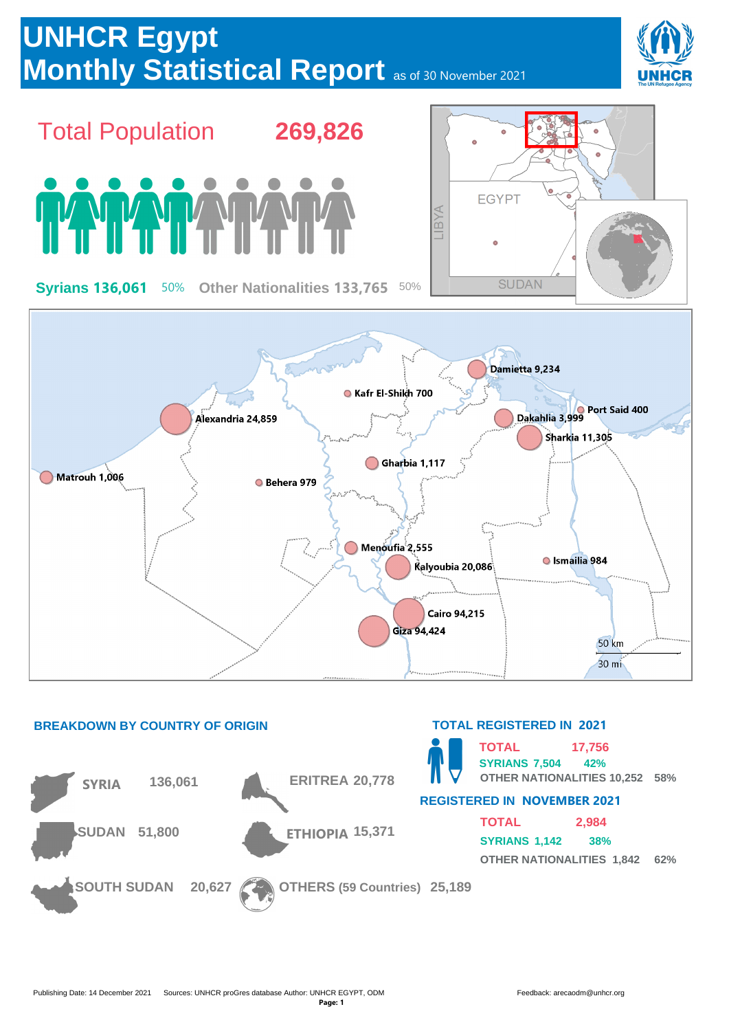



## **OTHER NATIONALITIES 10,252 58% REGISTERED IN NOVEMBER 2021**

**TOTAL SYRIANS 1,142 38% OTHER NATIONALITIES 1,842 62% 2,984**